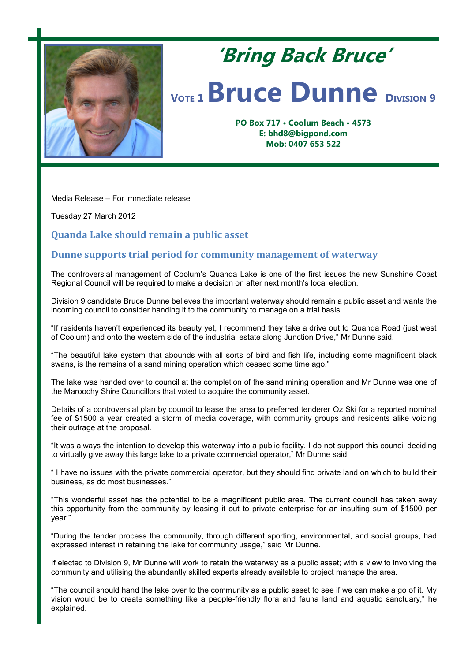

# **'Bring Back Bruce' <sup>V</sup>OTE <sup>1</sup>Bruce Dunne <sup>D</sup>IVISION <sup>9</sup>**

**PO Box 717 • Coolum Beach • 4573 E: bhd8@bigpond.com Mob: 0407 653 522**

Media Release – For immediate release

Tuesday 27 March 2012

**Quanda Lake should remain a public asset**

## **Dunne supports trial period for community management of waterway**

The controversial management of Coolum's Quanda Lake is one of the first issues the new Sunshine Coast Regional Council will be required to make a decision on after next month's local election.

Division 9 candidate Bruce Dunne believes the important waterway should remain a public asset and wants the incoming council to consider handing it to the community to manage on a trial basis.

"If residents haven't experienced its beauty yet, I recommend they take a drive out to Quanda Road (just west of Coolum) and onto the western side of the industrial estate along Junction Drive," Mr Dunne said.

"The beautiful lake system that abounds with all sorts of bird and fish life, including some magnificent black swans, is the remains of a sand mining operation which ceased some time ago."

The lake was handed over to council at the completion of the sand mining operation and Mr Dunne was one of the Maroochy Shire Councillors that voted to acquire the community asset.

Details of a controversial plan by council to lease the area to preferred tenderer Oz Ski for a reported nominal fee of \$1500 a year created a storm of media coverage, with community groups and residents alike voicing their outrage at the proposal.

"It was always the intention to develop this waterway into a public facility. I do not support this council deciding to virtually give away this large lake to a private commercial operator," Mr Dunne said.

" I have no issues with the private commercial operator, but they should find private land on which to build their business, as do most businesses."

"This wonderful asset has the potential to be a magnificent public area. The current council has taken away this opportunity from the community by leasing it out to private enterprise for an insulting sum of \$1500 per year."

"During the tender process the community, through different sporting, environmental, and social groups, had expressed interest in retaining the lake for community usage," said Mr Dunne.

If elected to Division 9, Mr Dunne will work to retain the waterway as a public asset; with a view to involving the community and utilising the abundantly skilled experts already available to project manage the area.

"The council should hand the lake over to the community as a public asset to see if we can make a go of it. My vision would be to create something like a people-friendly flora and fauna land and aquatic sanctuary," he explained.